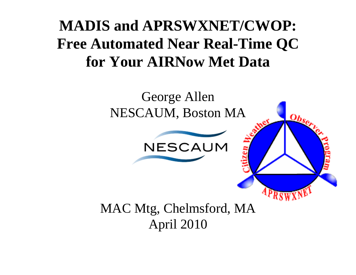# **MADIS and APRSWXNET/CWOP:Free Automated Near Real-Time QCfor Your AIRNow Met Data**

George AllenNESCAUM, Boston MA





## MAC Mtg, Chelmsford, MAApril 2010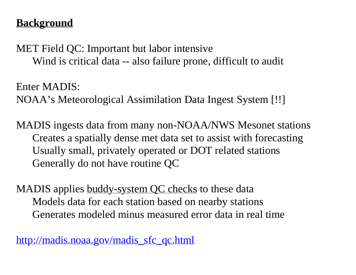#### **Background**

MET Field QC: Important but labor intensiveWind is critical data -- also failure prone, difficult to audit

Enter MADIS:NOAA's Meteorological Assimilation Data Ingest System [!!]

MADIS ingests data from many non-NOAA/NWS Mesonet stationsCreates a spatially dense met data set to assist with forecastingUsually small, privately operated or DOT related stationsGenerally do not have routine QC

MADIS applies buddy-system QC checks to these data Models data for each station based on nearby stationsGenerates modeled minus measured error data in real time

http://madis.noaa.gov/madis\_sfc\_qc.html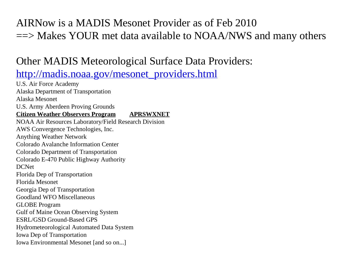#### AIRNow is a MADIS Mesonet Provider as of Feb 2010==> Makes YOUR met data available to NOAA/NWS and many others

#### Other MADIS Meteorological Surface Data Providers:

#### http://madis.noaa.gov/mesonet\_providers.html

U.S. Air Force Academy Alaska Department of TransportationAlaska MesonetU.S. Army Aberdeen Proving Grounds **Citizen Weather Observers Program APRSWXNET** NOAA Air Resources Laboratory/Field Research DivisionAWS Convergence Technologies, Inc.Anything Weather Network Colorado Avalanche Information Center Colorado Department of Transportation Colorado E-470 Public Highway AuthorityDCNetFlorida Dep of TransportationFlorida Mesonet Georgia Dep of Transportation Goodland WFO MiscellaneousGLOBE Program Gulf of Maine Ocean Observing SystemESRL/GSD Ground-Based GPS Hydrometeorological Automated Data SystemIowa Dep of TransportationIowa Environmental Mesonet [and so on...]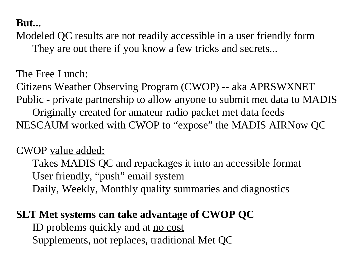#### **But...**

Modeled QC results are not readily accessible in a user friendly formThey are out there if you know a few tricks and secrets...

The Free Lunch:

Citizens Weather Observing Program (CWOP) -- aka APRSWXNET Public - private partnership to allow anyone to submit met data to MADISOriginally created for amateur radio packet met data feedsNESCAUM worked with CWOP to "expose" the MADIS AIRNow QC

CWOP value added:

Takes MADIS QC and repackages it into an accessible formatUser friendly, "push" email systemDaily, Weekly, Monthly quality summaries and diagnostics

#### **SLT Met systems can take advantage of CWOP QC**

ID problems quickly and at no costSupplements, not replaces, traditional Met QC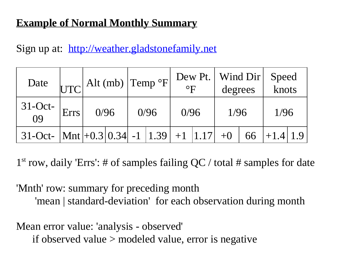### **Example of Normal Monthly Summary**

Sign up at: http://weather.gladstonefamily.net

| Date                                                                 |      |      | $\text{Tr} C$ Alt (mb) $\text{Temp } {}^{\circ}F$ |  | $\circ$ F |  | Dew Pt.   Wind Dir $\vert$<br>degrees |    | Speed<br>knots |  |
|----------------------------------------------------------------------|------|------|---------------------------------------------------|--|-----------|--|---------------------------------------|----|----------------|--|
| $31-Oct-$<br>09                                                      | Errs | 0/96 | 0/96                                              |  | 0/96      |  | 1/96                                  |    | 1/96           |  |
| 31-Oct- $\text{Mnt} +0.3 0.34 $ -1 $\text{1.39} +1$ $\text{1.17} +0$ |      |      |                                                   |  |           |  |                                       | 66 | $+1.4 1.9$     |  |

 $1<sup>st</sup>$  row, daily 'Errs': # of samples failing QC / total # samples for date

'Mnth' row: summary for preceding month'mean | standard-deviation' for each observation during month

Mean error value: 'analysis - observed' if observed value > modeled value, error is negative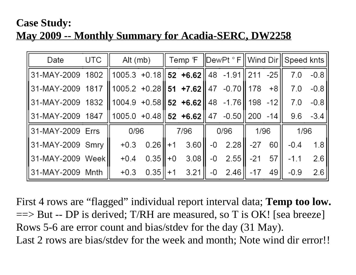#### **Case Study:May 2009 -- Monthly Summary for Acadia-SERC, DW2258**

| Date                                                                                                                  | UTC | Alt (mb) |  | Temp F   DewPt ° F    Wind Dir    Speed knts        |         |      |       |        |            |
|-----------------------------------------------------------------------------------------------------------------------|-----|----------|--|-----------------------------------------------------|---------|------|-------|--------|------------|
| $\ 31\text{-}$ MAY-2009 1802 $\ 1005.3$ +0.18 $\ 52$ +6.62 $\ 48$ -1.91 $\ 211$ -25 $\ $                              |     |          |  |                                                     |         |      |       | 7.0    | $-0.8$     |
| 31-MAY-2009 1817   1005.2 +0.28   51 +7.62   47 -0.70   178 +8                                                        |     |          |  |                                                     |         |      |       | 7.0    | $-0.8$     |
| $31-MAY-2009$ 1832 $\parallel$ 1004.9 +0.58 $\parallel$ 52 +6.62 $\parallel$ 48 -1.76 $\parallel$ 198 -12 $\parallel$ |     |          |  |                                                     |         |      |       | 7.0    | $-0.8$     |
| $\ 31\text{-}$ MAY-2009 1847 $\ 1005.0$ +0.48 $\ 52$ +6.62 $\ 47$ -0.50 $\ 200$ -14 $\ $                              |     |          |  |                                                     |         |      |       |        | $9.6 -3.4$ |
| 31-MAY-2009 Errs                                                                                                      |     | 0/96     |  | 7/96                                                | II 0/96 | 1/96 |       | 1/96   |            |
| 31-MAY-2009 Smry                                                                                                      |     |          |  | $+0.3$ 0.26    +1 3.60    -0 2.28    -27 60    -0.4 |         |      |       |        | 1.8        |
| 31-MAY-2009 Week                                                                                                      |     |          |  | $+0.4$ 0.35 $+0$ 3.08 $-0$ 2.55 $-21$ 57 $-1.1$     |         |      |       |        | 2.6        |
| 31-MAY-2009 Mnth                                                                                                      |     |          |  | $+0.3$ 0.35 $+1$ 3.21 $-0$ 2.46 $-17$               |         |      | 49 II | $-0.9$ | 2.6        |

First 4 rows are "flagged" individual report interval data; **Temp too low.** $\Rightarrow$  But -- DP is derived; T/RH are measured, so T is OK! [sea breeze] Rows 5-6 are error count and bias/stdev for the day (31 May).Last 2 rows are bias/stdev for the week and month; Note wind dir error!!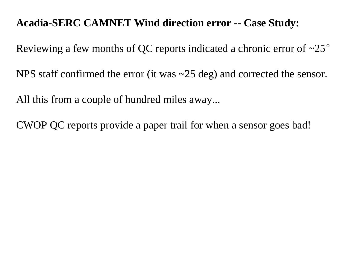#### **Acadia-SERC CAMNET Wind direction error -- Case Study:**

Reviewing a few months of QC reports indicated a chronic error of ~25  $^{\circ}$ 

NPS staff confirmed the error (it was  $\sim$ 25 deg) and corrected the sensor.

All this from a couple of hundred miles away...

CWOP QC reports provide a paper trail for when a sensor goes bad!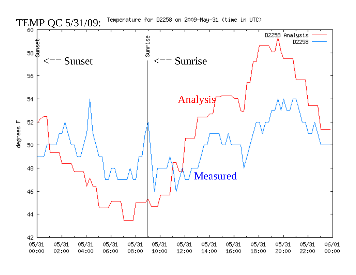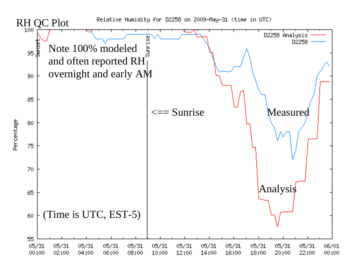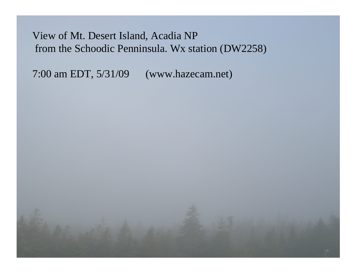View of Mt. Desert Island, Acadia NPfrom the Schoodic Penninsula. Wx station (DW2258)

7:00 am EDT, 5/31/09 (www.hazecam.net)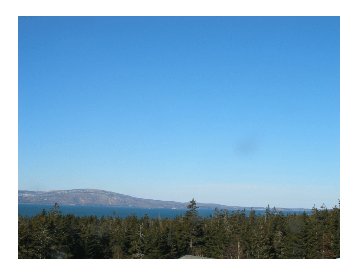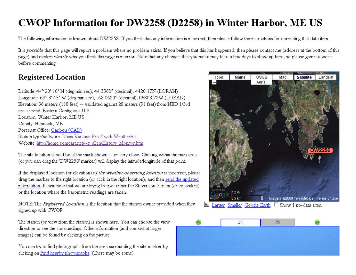#### CWOP Information for DW2258 (D2258) in Winter Harbor, ME US

The following information is known about DW2258. If you think that any information is incorrect, then please follow the instructions for correcting that data item.

It is possible that this page will report a problem where no problem exists. If you believe that this has happened, then please contact me (address at the bottom of this page) and explain *clearly* why you think this page is in error. Note that any changes that you make may take a few days to show up here, so please give it a week before commenting.

#### **Registered Location**

Latitude: 44° 20' 10" N (deg min sec), 44.3362° (decimal), 4420.17N (LORAN) Longitude: 68° 3' 43" W (deg min sec), -68.0620° (decimal), 06803.72W (LORAN) Elevation: 36 meters (118 feet) -- validated against 28 meters (91 feet) from NED 1/3rd arc-second: Eastern Contiguous U.S. Location: Winter Harbor, ME US County: Hancock, ME Forecast Office: Caribou (CAR) Station type/software: Davis Vantage Pro 2 with Weatherlink Website: http://home.comcast.net/~g\_allen/History\_Monitor.htm

The site location should be at the mark shown -- or very close. Clicking within the map area (or you can drag the 'DW2258' marker) will display the latitude/longitude of that point.

If the displayed location (or elevation) of the weather observing location is incorrect, please drag the marker to the right location (or click in the right location), and then send the updated information. Please note that we are trying to spot either the Stevenson Screen (or equivalent) or the location where the barometric readings are taken.

NOTE: The Registered Location is the location that the station owner provided when they signed up with CWOP.

The station (or view from the station) is shown here. You can choose the view direction to see the surroundings. Other information (and somewhat larger images) can be found by clicking on the picture.

You can try to find photographs from the area surrounding the site marker by clicking on Find nearby photographs. (There may be some)



Larger Smaller Google Earth. □ Show 1 no-data sites.

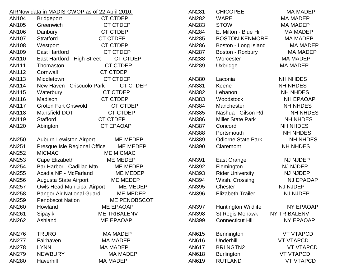|       | AIRNow data in MADIS-CWOP as of 22 April 2010: |                     | AN281        | <b>CHICOPEE</b>            | <b>MA MADEP</b>     |
|-------|------------------------------------------------|---------------------|--------------|----------------------------|---------------------|
| AN104 | <b>Bridgeport</b>                              | <b>CT CTDEP</b>     | AN282        | <b>WARE</b>                | <b>MA MADEP</b>     |
| AN105 | Greenwich                                      | <b>CT CTDEP</b>     | AN283        | <b>STOW</b>                | <b>MA MADEP</b>     |
| AN106 | Danbury                                        | <b>CT CTDEP</b>     | AN284        | E. Milton - Blue Hill      | <b>MA MADEP</b>     |
| AN107 | <b>Stratford</b>                               | <b>CT CTDEP</b>     | AN285        | <b>BOSTON-KENMORE</b>      | <b>MA MADEP</b>     |
| AN108 | Westport                                       | <b>CT CTDEP</b>     | AN286        | Boston - Long Island       | <b>MA MADEP</b>     |
| AN109 | <b>East Hartford</b>                           | <b>CT CTDEP</b>     | <b>AN287</b> | Boston - Roxbury           | <b>MA MADEP</b>     |
| AN110 | East Hartford - High Street                    | <b>CT CTDEP</b>     | <b>AN288</b> | Worcester                  | <b>MA MADEP</b>     |
| AN111 | Thomaston                                      | <b>CT CTDEP</b>     | AN289        | Uxbridge                   | <b>MA MADEP</b>     |
| AN112 | Cornwall                                       | <b>CT CTDEP</b>     |              |                            |                     |
| AN113 | Middletown                                     | <b>CT CTDEP</b>     | AN380        | Laconia                    | <b>NH NHDES</b>     |
| AN114 | New Haven - Criscuolo Park                     | <b>CT CTDEP</b>     | AN381        | Keene                      | <b>NH NHDES</b>     |
| AN115 | Waterbury                                      | <b>CT CTDEP</b>     | AN382        | Lebanon                    | <b>NH NHDES</b>     |
| AN116 | Madison                                        | <b>CT CTDEP</b>     | AN383        | Woodstock                  | NH EPAOAP           |
| AN117 | <b>Groton Fort Griswold</b>                    | <b>CT CTDEP</b>     | AN384        | Manchester                 | <b>NH NHDES</b>     |
| AN118 | Mansfield-DOT                                  | <b>CT CTDEP</b>     | AN385        | Nashua - Gilson Rd.        | <b>NH NHDES</b>     |
| AN119 | <b>Stafford</b>                                | <b>CT CTDEP</b>     | AN386        | <b>Miller State Park</b>   | <b>NH NHDES</b>     |
| AN120 | Abington                                       | <b>CT EPAOAP</b>    | AN387        | Concord                    | <b>NH NHDES</b>     |
|       |                                                |                     | AN388        | Portsmouth                 | <b>NH NHDES</b>     |
| AN250 | <b>Auburn-Lewiston Airport</b>                 | ME MEDEP            | AN389        | <b>Odiorne State Park</b>  | <b>NH NHDES</b>     |
| AN251 | Presque Isle Regional Office                   | ME MEDEP            | AN390        | Claremont                  | <b>NH NHDES</b>     |
| AN252 | <b>MICMAC</b>                                  | <b>ME MICMAC</b>    |              |                            |                     |
| AN253 | Cape Elizabeth                                 | ME MEDEP            | AN391        | East Orange                | <b>NJ NJDEP</b>     |
| AN254 | Bar Harbor - Cadillac Mtn.                     | <b>ME MEDEP</b>     | AN392        | Flemington                 | NJ NJDEP            |
| AN255 | Acadia NP - McFarland                          | <b>ME MEDEP</b>     | AN393        | <b>Rider University</b>    | <b>NJ NJDEP</b>     |
| AN256 | Augusta State Airport                          | <b>ME MEDEP</b>     | AN394        | Wash. Crossing             | <b>NJ EPAOAP</b>    |
| AN257 | <b>Owls Head Municipal Airport</b>             | <b>ME MEDEP</b>     | AN395        | Chester                    | <b>NJ NJDEP</b>     |
| AN258 | <b>Bangor Air National Guard</b>               | <b>ME MEDEP</b>     | AN396        | <b>Elizabeth Trailer</b>   | NJ NJDEP            |
| AN259 | <b>Penobscot Nation</b>                        | ME PENOBSCOT        |              |                            |                     |
| AN260 | Howland                                        | ME EPAOAP           | AN397        | <b>Huntington Wildlife</b> | <b>NY EPAOAP</b>    |
| AN261 | Sipayik                                        | <b>ME TRIBALENV</b> | AN398        | St Regis Mohawk            | <b>NY TRIBALENV</b> |
| AN262 | Ashland                                        | ME EPAOAP           | AN399        | <b>Connecticut Hill</b>    | <b>NY EPAOAP</b>    |
| AN276 | <b>TRURO</b>                                   | <b>MA MADEP</b>     | AN615        | Bennington                 | <b>VT VTAPCD</b>    |
| AN277 | Fairhaven                                      | <b>MA MADEP</b>     | AN616        | Underhill                  | <b>VT VTAPCD</b>    |
| AN278 | <b>LYNN</b>                                    | <b>MA MADEP</b>     | AN617        | <b>BRLNGTN2</b>            | <b>VT VTAPCD</b>    |
| AN279 | <b>NEWBURY</b>                                 | <b>MA MADEP</b>     | AN618        | <b>Burlington</b>          | <b>VT VTAPCD</b>    |
| AN280 | Haverhill                                      | <b>MA MADEP</b>     | AN619        | <b>RUTLAND</b>             | <b>VT VTAPCD</b>    |

|       | <u>AIRNow data in MADIS-CWOP as of 22 April 2010:</u> |                     | AN281        | <b>CHICOPEE</b>           | MA MADEP            |
|-------|-------------------------------------------------------|---------------------|--------------|---------------------------|---------------------|
| AN104 | <b>Bridgeport</b>                                     | <b>CT CTDEP</b>     | AN282        | <b>WARE</b>               | <b>MA MADEP</b>     |
| AN105 | Greenwich                                             | <b>CT CTDEP</b>     | AN283        | <b>STOW</b>               | <b>MA MADEP</b>     |
| AN106 | Danbury                                               | <b>CT CTDEP</b>     | AN284        | E. Milton - Blue Hill     | <b>MA MADEP</b>     |
| AN107 | <b>Stratford</b>                                      | CT CTDEP            | AN285        | <b>BOSTON-KENMORE</b>     | <b>MA MADEP</b>     |
| AN108 | Westport                                              | <b>CT CTDEP</b>     | AN286        | Boston - Long Island      | <b>MA MADEP</b>     |
| AN109 | <b>East Hartford</b>                                  | <b>CT CTDEP</b>     | <b>AN287</b> | Boston - Roxbury          | <b>MA MADEP</b>     |
| AN110 | East Hartford - High Street                           | <b>CT CTDEP</b>     | AN288        | Worcester                 | <b>MA MADEP</b>     |
| AN111 | Thomaston                                             | <b>CT CTDEP</b>     | AN289        | Uxbridge                  | <b>MA MADEP</b>     |
| AN112 | Cornwall                                              | <b>CT CTDEP</b>     |              |                           |                     |
| AN113 | Middletown                                            | <b>CT CTDEP</b>     | AN380        | Laconia                   | <b>NH NHDES</b>     |
| AN114 | New Haven - Criscuolo Park                            | <b>CT CTDEP</b>     | AN381        | Keene                     | <b>NH NHDES</b>     |
| AN115 | Waterbury                                             | <b>CT CTDEP</b>     | AN382        | Lebanon                   | <b>NH NHDES</b>     |
| AN116 | Madison                                               | <b>CT CTDEP</b>     | AN383        | Woodstock                 | NH EPAOAP           |
| AN117 | <b>Groton Fort Griswold</b>                           | <b>CT CTDEP</b>     | AN384        | Manchester                | <b>NH NHDES</b>     |
| AN118 | Mansfield-DOT                                         | <b>CT CTDEP</b>     | AN385        | Nashua - Gilson Rd.       | <b>NH NHDES</b>     |
| AN119 | <b>Stafford</b>                                       | <b>CT CTDEP</b>     | AN386        | <b>Miller State Park</b>  | <b>NH NHDES</b>     |
| AN120 | Abington                                              | <b>CT EPAOAP</b>    | AN387        | Concord                   | <b>NH NHDES</b>     |
|       |                                                       |                     | AN388        | Portsmouth                | <b>NH NHDES</b>     |
| AN250 | <b>Auburn-Lewiston Airport</b>                        | ME MEDEP            | AN389        | <b>Odiorne State Park</b> | <b>NH NHDES</b>     |
| AN251 | Presque Isle Regional Office                          | <b>ME MEDEP</b>     | AN390        | Claremont                 | <b>NH NHDES</b>     |
| AN252 | <b>MICMAC</b>                                         | <b>ME MICMAC</b>    |              |                           |                     |
| AN253 | Cape Elizabeth                                        | <b>ME MEDEP</b>     | AN391        | East Orange               | <b>NJ NJDEP</b>     |
| AN254 | Bar Harbor - Cadillac Mtn.                            | ME MEDEP            | AN392        | Flemington                | NJ NJDEP            |
| AN255 | Acadia NP - McFarland                                 | ME MEDEP            | AN393        | <b>Rider University</b>   | NJ NJDEP            |
| AN256 | Augusta State Airport                                 | <b>ME MEDEP</b>     | AN394        | Wash. Crossing            | <b>NJ EPAOAP</b>    |
| AN257 | <b>Owls Head Municipal Airport</b>                    | <b>ME MEDEP</b>     | AN395        | Chester                   | <b>NJ NJDEP</b>     |
| AN258 | <b>Bangor Air National Guard</b>                      | <b>ME MEDEP</b>     | AN396        | <b>Elizabeth Trailer</b>  | NJ NJDEP            |
| AN259 | <b>Penobscot Nation</b>                               | ME PENOBSCOT        |              |                           |                     |
| AN260 | Howland                                               | <b>ME EPAOAP</b>    | AN397        | Huntington Wildlife       | <b>NY EPAOAP</b>    |
| AN261 | Sipayik                                               | <b>ME TRIBALENV</b> | AN398        | St Regis Mohawk           | <b>NY TRIBALENV</b> |
| AN262 | Ashland                                               | <b>ME EPAOAP</b>    | AN399        | <b>Connecticut Hill</b>   | <b>NY EPAOAP</b>    |
| AN276 | <b>TRURO</b>                                          | <b>MA MADEP</b>     | AN615        | Bennington                | <b>VT VTAPCD</b>    |
| AN277 | Fairhaven                                             | <b>MA MADEP</b>     | AN616        | Underhill                 | <b>VT VTAPCD</b>    |
| AN278 | <b>LYNN</b>                                           | <b>MA MADEP</b>     | AN617        | <b>BRLNGTN2</b>           | <b>VT VTAPCD</b>    |
| AN279 | <b>NEWBURY</b>                                        | <b>MA MADEP</b>     | AN618        | <b>Burlington</b>         | <b>VT VTAPCD</b>    |
| AN280 | Haverhill                                             | <b>MA MADEP</b>     | AN619        | <b>RUTLAND</b>            | <b>VT VTAPCD</b>    |
|       |                                                       |                     |              |                           |                     |